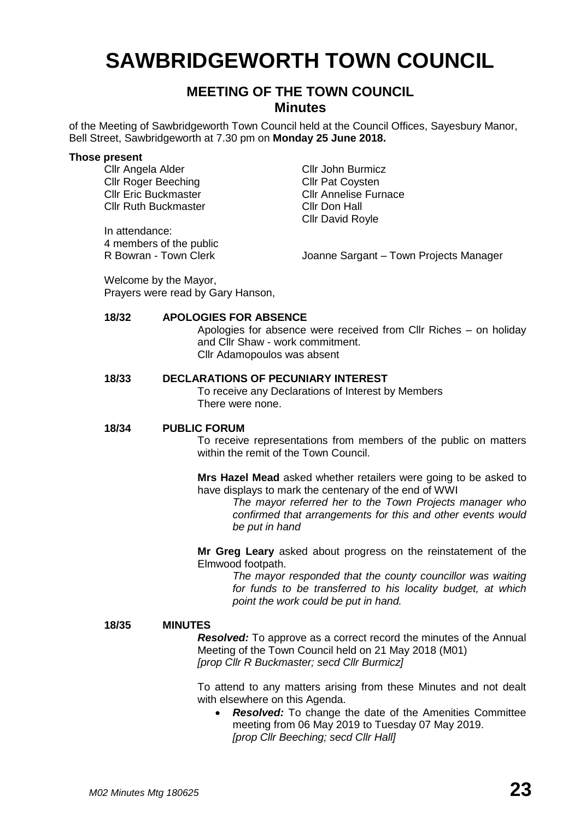# **SAWBRIDGEWORTH TOWN COUNCIL**

# **MEETING OF THE TOWN COUNCIL Minutes**

of the Meeting of Sawbridgeworth Town Council held at the Council Offices, Sayesbury Manor, Bell Street, Sawbridgeworth at 7.30 pm on **Monday 25 June 2018.**

#### **Those present**

Cllr Angela Alder Cllr John Burmicz<br>Cllr Roger Beeching Cllr Pat Coysten Cllr Roger Beeching Cllr Ruth Buckmaster Cllr Don Hall

In attendance: 4 members of the public<br>R Bowran - Town Clerk

Cllr Eric Buckmaster Cllr Annelise Furnace Cllr David Royle

Joanne Sargant – Town Projects Manager

Welcome by the Mayor, Prayers were read by Gary Hanson,

### **18/32 APOLOGIES FOR ABSENCE**

Apologies for absence were received from Cllr Riches – on holiday and Cllr Shaw - work commitment. Cllr Adamopoulos was absent

# **18/33 DECLARATIONS OF PECUNIARY INTEREST**

To receive any Declarations of Interest by Members There were none.

#### **18/34 PUBLIC FORUM**

To receive representations from members of the public on matters within the remit of the Town Council.

**Mrs Hazel Mead** asked whether retailers were going to be asked to have displays to mark the centenary of the end of WWI

*The mayor referred her to the Town Projects manager who confirmed that arrangements for this and other events would be put in hand*

**Mr Greg Leary** asked about progress on the reinstatement of the Elmwood footpath.

> *The mayor responded that the county councillor was waiting for funds to be transferred to his locality budget, at which point the work could be put in hand.*

#### **18/35 MINUTES**

*Resolved:* To approve as a correct record the minutes of the Annual Meeting of the Town Council held on 21 May 2018 (M01) *[prop Cllr R Buckmaster; secd Cllr Burmicz]*

To attend to any matters arising from these Minutes and not dealt with elsewhere on this Agenda.

 *Resolved:* To change the date of the Amenities Committee meeting from 06 May 2019 to Tuesday 07 May 2019. *[prop Cllr Beeching; secd Cllr Hall]*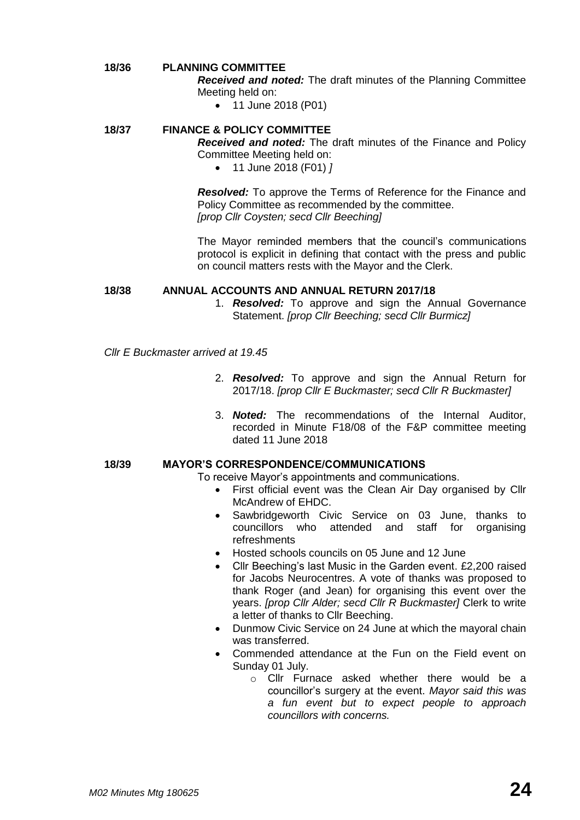# **18/36 PLANNING COMMITTEE**

*Received and noted:* The draft minutes of the Planning Committee Meeting held on:

• 11 June 2018 (P01)

# **18/37 FINANCE & POLICY COMMITTEE** *Received and noted:* The draft minutes of the Finance and Policy

Committee Meeting held on:

11 June 2018 (F01) *]*

*Resolved:* To approve the Terms of Reference for the Finance and Policy Committee as recommended by the committee. *[prop Cllr Coysten; secd Cllr Beeching]*

The Mayor reminded members that the council's communications protocol is explicit in defining that contact with the press and public on council matters rests with the Mayor and the Clerk.

# **18/38 ANNUAL ACCOUNTS AND ANNUAL RETURN 2017/18**

1. *Resolved:* To approve and sign the Annual Governance Statement. *[prop Cllr Beeching; secd Cllr Burmicz]*

*Cllr E Buckmaster arrived at 19.45*

- 2. *Resolved:* To approve and sign the Annual Return for 2017/18. *[prop Cllr E Buckmaster; secd Cllr R Buckmaster]*
- 3. *Noted:* The recommendations of the Internal Auditor, recorded in Minute F18/08 of the F&P committee meeting dated 11 June 2018

## **18/39 MAYOR'S CORRESPONDENCE/COMMUNICATIONS**

To receive Mayor's appointments and communications.

- First official event was the Clean Air Day organised by Cllr McAndrew of EHDC.
- Sawbridgeworth Civic Service on 03 June, thanks to councillors who attended and staff for organising refreshments
- Hosted schools councils on 05 June and 12 June
- Cllr Beeching's last Music in the Garden event. £2,200 raised for Jacobs Neurocentres. A vote of thanks was proposed to thank Roger (and Jean) for organising this event over the years. *[prop Cllr Alder; secd Cllr R Buckmaster]* Clerk to write a letter of thanks to Cllr Beeching.
- Dunmow Civic Service on 24 June at which the mayoral chain was transferred.
- Commended attendance at the Fun on the Field event on Sunday 01 July.
	- o Cllr Furnace asked whether there would be a councillor's surgery at the event. *Mayor said this was a fun event but to expect people to approach councillors with concerns.*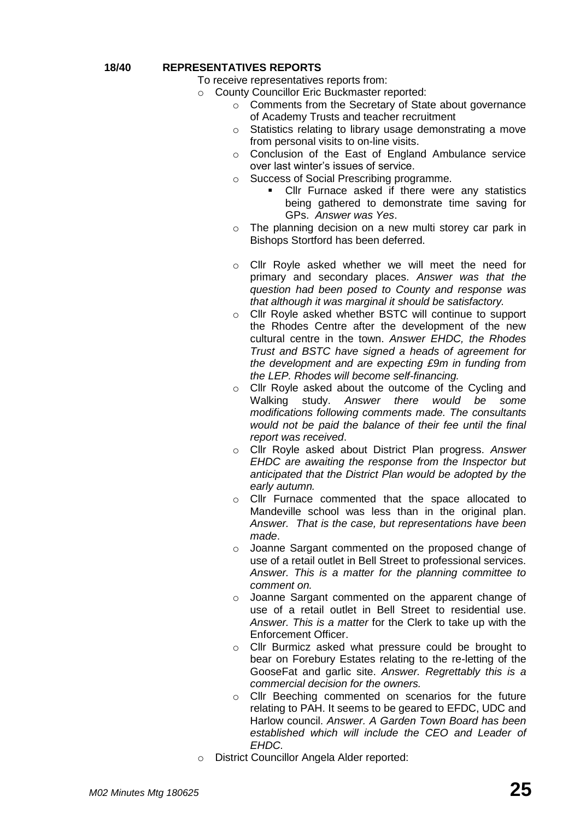#### **18/40 REPRESENTATIVES REPORTS**

- To receive representatives reports from:
- o County Councillor Eric Buckmaster reported:
	- o Comments from the Secretary of State about governance of Academy Trusts and teacher recruitment
	- o Statistics relating to library usage demonstrating a move from personal visits to on-line visits.
	- o Conclusion of the East of England Ambulance service over last winter's issues of service.
	- o Success of Social Prescribing programme.
		- Cllr Furnace asked if there were any statistics being gathered to demonstrate time saving for GPs. *Answer was Yes*.
	- o The planning decision on a new multi storey car park in Bishops Stortford has been deferred.
	- o Cllr Royle asked whether we will meet the need for primary and secondary places. *Answer was that the question had been posed to County and response was that although it was marginal it should be satisfactory.*
	- o Cllr Royle asked whether BSTC will continue to support the Rhodes Centre after the development of the new cultural centre in the town. *Answer EHDC, the Rhodes Trust and BSTC have signed a heads of agreement for the development and are expecting £9m in funding from the LEP. Rhodes will become self-financing.*
	- o Cllr Royle asked about the outcome of the Cycling and Walking study. *Answer there would be some modifications following comments made. The consultants would not be paid the balance of their fee until the final report was received*.
	- o Cllr Royle asked about District Plan progress. *Answer EHDC are awaiting the response from the Inspector but anticipated that the District Plan would be adopted by the early autumn.*
	- o Cllr Furnace commented that the space allocated to Mandeville school was less than in the original plan. *Answer. That is the case, but representations have been made*.
	- o Joanne Sargant commented on the proposed change of use of a retail outlet in Bell Street to professional services. *Answer. This is a matter for the planning committee to comment on.*
	- o Joanne Sargant commented on the apparent change of use of a retail outlet in Bell Street to residential use. *Answer. This is a matter* for the Clerk to take up with the Enforcement Officer.
	- o Cllr Burmicz asked what pressure could be brought to bear on Forebury Estates relating to the re-letting of the GooseFat and garlic site. *Answer. Regrettably this is a commercial decision for the owners.*
	- o Cllr Beeching commented on scenarios for the future relating to PAH. It seems to be geared to EFDC, UDC and Harlow council. *Answer. A Garden Town Board has been established which will include the CEO and Leader of EHDC.*
- o District Councillor Angela Alder reported: